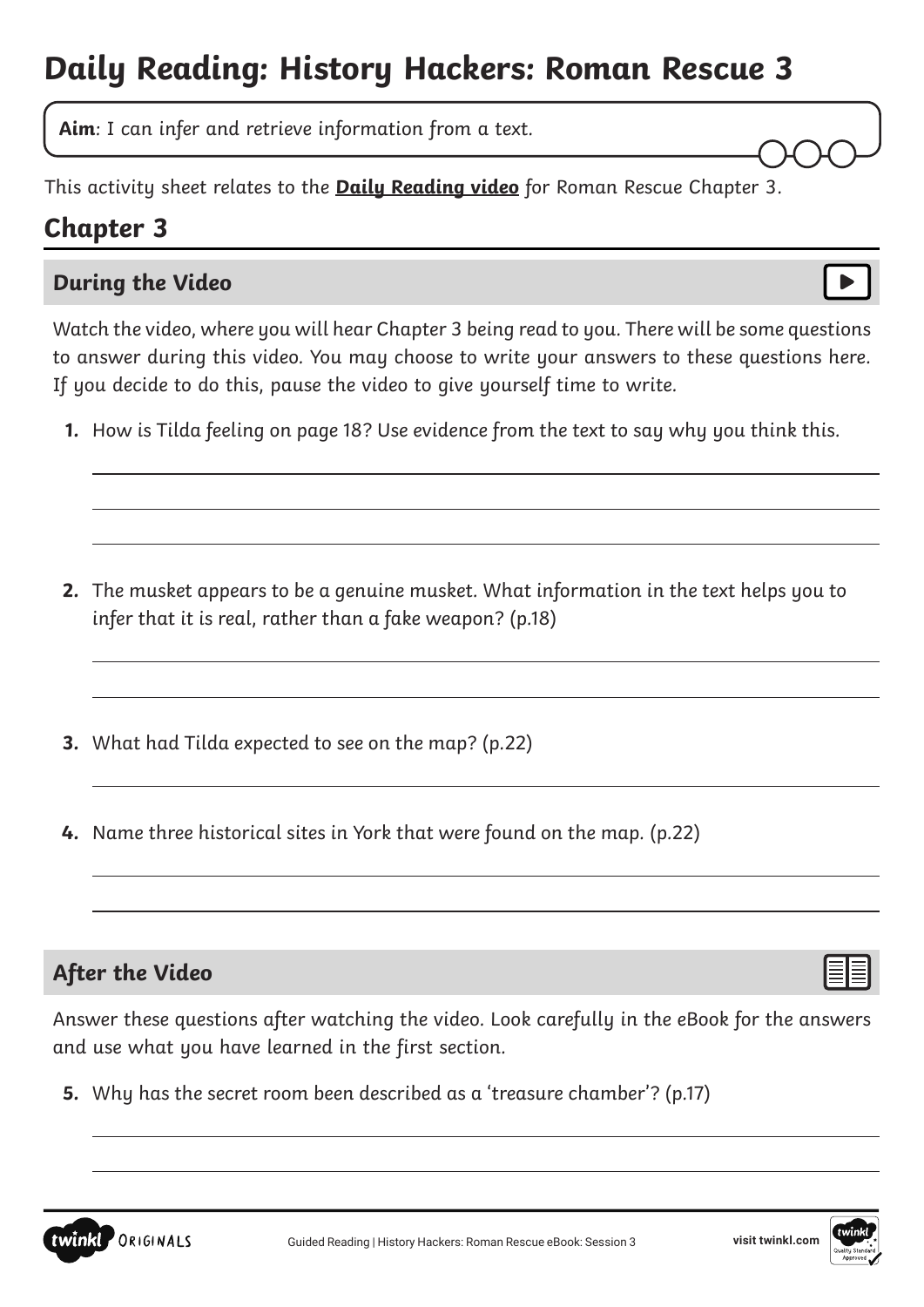# **Daily Reading: History Hackers: Roman Rescue 3**

**Aim**: I can infer and retrieve information from a text.

This activity sheet relates to the **[Daily Reading video](https://www.youtube.com/watch?v=EkS7Sypx4hc&feature=youtu.be)** for Roman Rescue Chapter 3.

## **Chapter 3**

 $\overline{a}$ 

#### **During the Video**

Watch the video, where you will hear Chapter 3 being read to you. There will be some questions to answer during this video. You may choose to write your answers to these questions here. If you decide to do this, pause the video to give yourself time to write.

**1.** How is Tilda feeling on page 18? Use evidence from the text to say why you think this.

- **2.** The musket appears to be a genuine musket. What information in the text helps you to infer that it is real, rather than a fake weapon? (p.18)
- **3.** What had Tilda expected to see on the map? (p.22)
- **4.** Name three historical sites in York that were found on the map. (p.22)

### **After the Video**

 $\overline{a}$ 

**PORIGINALS** 

twinkl

Answer these questions after watching the video. Look carefully in the eBook for the answers and use what you have learned in the first section.

**5.** Why has the secret room been described as a 'treasure chamber'? (p.17)